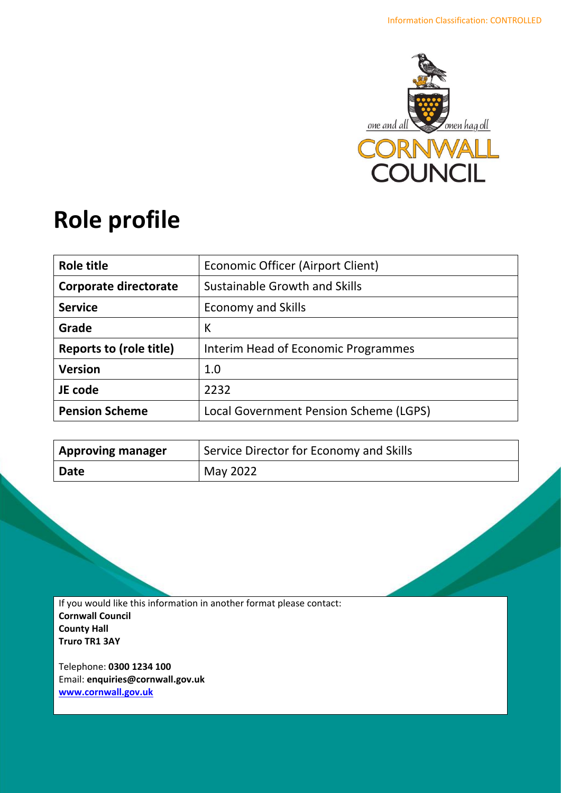

# **Role profile**

| Role title              | Economic Officer (Airport Client)      |
|-------------------------|----------------------------------------|
| Corporate directorate   | Sustainable Growth and Skills          |
| <b>Service</b>          | <b>Economy and Skills</b>              |
| Grade                   | К                                      |
| Reports to (role title) | Interim Head of Economic Programmes    |
| <b>Version</b>          | 1.0                                    |
| JE code                 | 2232                                   |
| <b>Pension Scheme</b>   | Local Government Pension Scheme (LGPS) |

| <b>Approving manager</b> | Service Director for Economy and Skills |
|--------------------------|-----------------------------------------|
| Date                     | May 2022                                |

If you would like this information in another format please contact: **Cornwall Council County Hall Truro TR1 3AY**

Telephone: **0300 1234 100** Email: **[enquiries@cornwall.gov.uk](mailto:enquiries@cornwall.gov.uk) [www.cornwall.gov.uk](http://www.cornwall.gov.uk/)**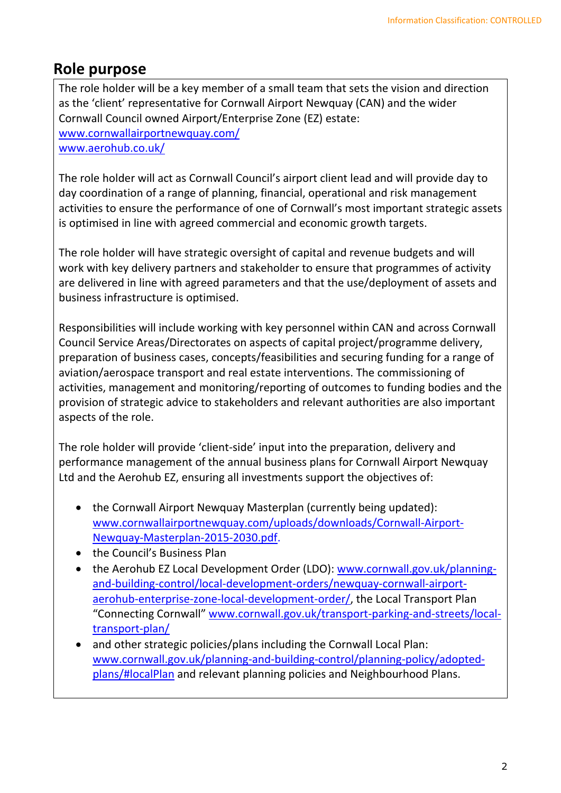# **Role purpose**

The role holder will be a key member of a small team that sets the vision and direction as the 'client' representative for Cornwall Airport Newquay (CAN) and the wider Cornwall Council owned Airport/Enterprise Zone (EZ) estate: [www.cornwallairportnewquay.com/](http://www.cornwallairportnewquay.com/) [www.aerohub.co.uk/](http://www.aerohub.co.uk/)

The role holder will act as Cornwall Council's airport client lead and will provide day to day coordination of a range of planning, financial, operational and risk management activities to ensure the performance of one of Cornwall's most important strategic assets is optimised in line with agreed commercial and economic growth targets.

The role holder will have strategic oversight of capital and revenue budgets and will work with key delivery partners and stakeholder to ensure that programmes of activity are delivered in line with agreed parameters and that the use/deployment of assets and business infrastructure is optimised.

Responsibilities will include working with key personnel within CAN and across Cornwall Council Service Areas/Directorates on aspects of capital project/programme delivery, preparation of business cases, concepts/feasibilities and securing funding for a range of aviation/aerospace transport and real estate interventions. The commissioning of activities, management and monitoring/reporting of outcomes to funding bodies and the provision of strategic advice to stakeholders and relevant authorities are also important aspects of the role.

The role holder will provide 'client-side' input into the preparation, delivery and performance management of the annual business plans for Cornwall Airport Newquay Ltd and the Aerohub EZ, ensuring all investments support the objectives of:

- the Cornwall Airport Newquay Masterplan (currently being updated): [www.cornwallairportnewquay.com/uploads/downloads/Cornwall-Airport-](http://www.cornwallairportnewquay.com/uploads/downloads/Cornwall-Airport-Newquay-Masterplan-2015-2030.pdf)[Newquay-Masterplan-2015-2030.pdf.](http://www.cornwallairportnewquay.com/uploads/downloads/Cornwall-Airport-Newquay-Masterplan-2015-2030.pdf)
- the Council's Business Plan
- the Aerohub EZ Local Development Order (LDO): [www.cornwall.gov.uk/planning](http://www.cornwall.gov.uk/planning-and-building-control/local-development-orders/newquay-cornwall-airport-aerohub-enterprise-zone-local-development-order/)[and-building-control/local-development-orders/newquay-cornwall-airport](http://www.cornwall.gov.uk/planning-and-building-control/local-development-orders/newquay-cornwall-airport-aerohub-enterprise-zone-local-development-order/)[aerohub-enterprise-zone-local-development-order/,](http://www.cornwall.gov.uk/planning-and-building-control/local-development-orders/newquay-cornwall-airport-aerohub-enterprise-zone-local-development-order/) the Local Transport Plan "Connecting Cornwall" [www.cornwall.gov.uk/transport-parking-and-streets/local](http://www.cornwall.gov.uk/transport-parking-and-streets/local-transport-plan/)[transport-plan/](http://www.cornwall.gov.uk/transport-parking-and-streets/local-transport-plan/)
- and other strategic policies/plans including the Cornwall Local Plan: [www.cornwall.gov.uk/planning-and-building-control/planning-policy/adopted](http://www.cornwall.gov.uk/planning-and-building-control/planning-policy/adopted-plans/#localPlan)[plans/#localPlan](http://www.cornwall.gov.uk/planning-and-building-control/planning-policy/adopted-plans/#localPlan) and relevant planning policies and Neighbourhood Plans.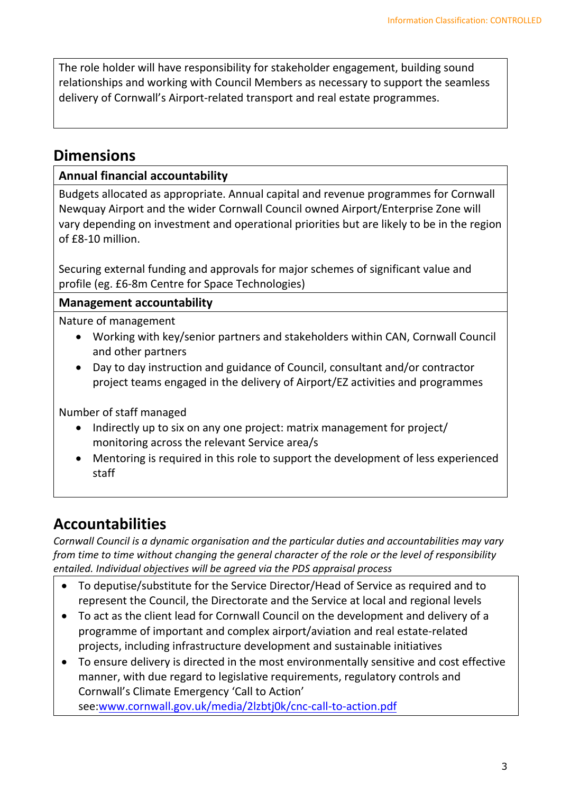The role holder will have responsibility for stakeholder engagement, building sound relationships and working with Council Members as necessary to support the seamless delivery of Cornwall's Airport-related transport and real estate programmes.

# **Dimensions**

### **Annual financial accountability**

Budgets allocated as appropriate. Annual capital and revenue programmes for Cornwall Newquay Airport and the wider Cornwall Council owned Airport/Enterprise Zone will vary depending on investment and operational priorities but are likely to be in the region of £8-10 million.

Securing external funding and approvals for major schemes of significant value and profile (eg. £6-8m Centre for Space Technologies)

### **Management accountability**

Nature of management

- Working with key/senior partners and stakeholders within CAN, Cornwall Council and other partners
- Day to day instruction and guidance of Council, consultant and/or contractor project teams engaged in the delivery of Airport/EZ activities and programmes

Number of staff managed

- Indirectly up to six on any one project: matrix management for project/ monitoring across the relevant Service area/s
- Mentoring is required in this role to support the development of less experienced staff

# **Accountabilities**

*Cornwall Council is a dynamic organisation and the particular duties and accountabilities may vary from time to time without changing the general character of the role or the level of responsibility entailed. Individual objectives will be agreed via the PDS appraisal process* 

- To deputise/substitute for the Service Director/Head of Service as required and to represent the Council, the Directorate and the Service at local and regional levels
- To act as the client lead for Cornwall Council on the development and delivery of a programme of important and complex airport/aviation and real estate-related projects, including infrastructure development and sustainable initiatives
- To ensure delivery is directed in the most environmentally sensitive and cost effective manner, with due regard to legislative requirements, regulatory controls and Cornwall's Climate Emergency 'Call to Action' see[:www.cornwall.gov.uk/media/2lzbtj0k/cnc-call-to-action.pdf](http://www.cornwall.gov.uk/media/2lzbtj0k/cnc-call-to-action.pdf)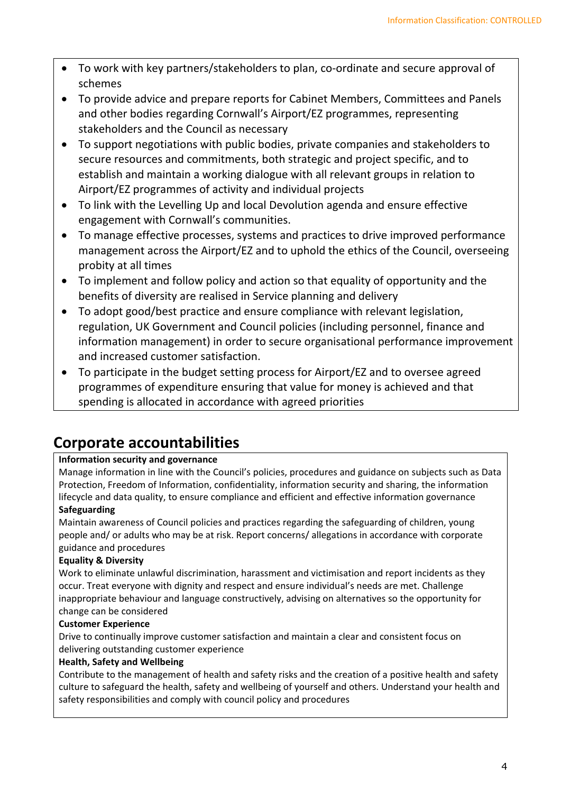- To work with key partners/stakeholders to plan, co-ordinate and secure approval of schemes
- To provide advice and prepare reports for Cabinet Members, Committees and Panels and other bodies regarding Cornwall's Airport/EZ programmes, representing stakeholders and the Council as necessary
- To support negotiations with public bodies, private companies and stakeholders to secure resources and commitments, both strategic and project specific, and to establish and maintain a working dialogue with all relevant groups in relation to Airport/EZ programmes of activity and individual projects
- To link with the Levelling Up and local Devolution agenda and ensure effective engagement with Cornwall's communities.
- To manage effective processes, systems and practices to drive improved performance management across the Airport/EZ and to uphold the ethics of the Council, overseeing probity at all times
- To implement and follow policy and action so that equality of opportunity and the benefits of diversity are realised in Service planning and delivery
- To adopt good/best practice and ensure compliance with relevant legislation, regulation, UK Government and Council policies (including personnel, finance and information management) in order to secure organisational performance improvement and increased customer satisfaction.
- To participate in the budget setting process for Airport/EZ and to oversee agreed programmes of expenditure ensuring that value for money is achieved and that spending is allocated in accordance with agreed priorities

# **Corporate accountabilities**

### **Information security and governance**

Manage information in line with the Council's policies, procedures and guidance on subjects such as Data Protection, Freedom of Information, confidentiality, information security and sharing, the information lifecycle and data quality, to ensure compliance and efficient and effective information governance **Safeguarding**

Maintain awareness of Council policies and practices regarding the safeguarding of children, young people and/ or adults who may be at risk. Report concerns/ allegations in accordance with corporate guidance and procedures

### **Equality & Diversity**

Work to eliminate unlawful discrimination, harassment and victimisation and report incidents as they occur. Treat everyone with dignity and respect and ensure individual's needs are met. Challenge inappropriate behaviour and language constructively, advising on alternatives so the opportunity for change can be considered

#### **Customer Experience**

Drive to continually improve customer satisfaction and maintain a clear and consistent focus on delivering outstanding customer experience

### **Health, Safety and Wellbeing**

Contribute to the management of health and safety risks and the creation of a positive health and safety culture to safeguard the health, safety and wellbeing of yourself and others. Understand your health and safety responsibilities and comply with council policy and procedures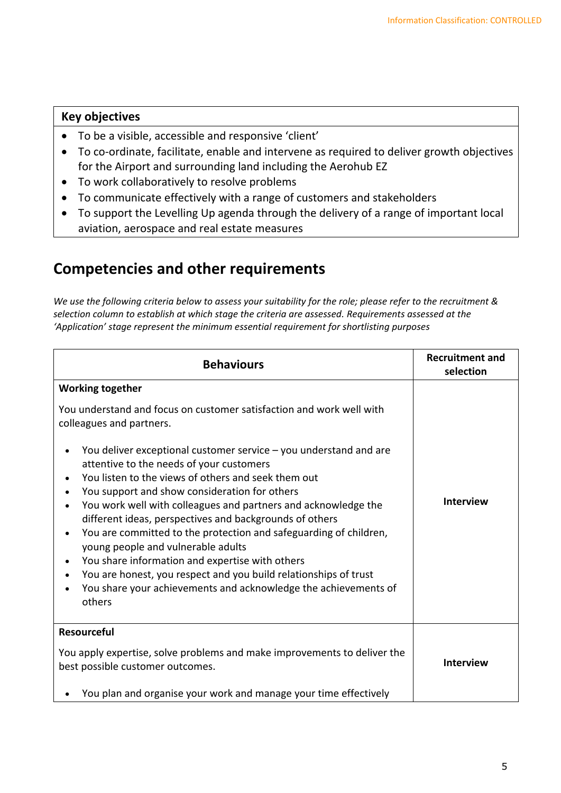#### **Key objectives**

- To be a visible, accessible and responsive 'client'
- To co-ordinate, facilitate, enable and intervene as required to deliver growth objectives for the Airport and surrounding land including the Aerohub EZ
- To work collaboratively to resolve problems
- To communicate effectively with a range of customers and stakeholders
- To support the Levelling Up agenda through the delivery of a range of important local aviation, aerospace and real estate measures

### **Competencies and other requirements**

*We use the following criteria below to assess your suitability for the role; please refer to the recruitment & selection column to establish at which stage the criteria are assessed. Requirements assessed at the 'Application' stage represent the minimum essential requirement for shortlisting purposes*

| <b>Behaviours</b>                                                                                                                                                                                                                                                                                                                                                                                                                                                                                                                                                                                                                                                                                                                                                                                  | <b>Recruitment and</b><br>selection |
|----------------------------------------------------------------------------------------------------------------------------------------------------------------------------------------------------------------------------------------------------------------------------------------------------------------------------------------------------------------------------------------------------------------------------------------------------------------------------------------------------------------------------------------------------------------------------------------------------------------------------------------------------------------------------------------------------------------------------------------------------------------------------------------------------|-------------------------------------|
| <b>Working together</b><br>You understand and focus on customer satisfaction and work well with<br>colleagues and partners.<br>You deliver exceptional customer service $-$ you understand and are<br>attentive to the needs of your customers<br>You listen to the views of others and seek them out<br>You support and show consideration for others<br>You work well with colleagues and partners and acknowledge the<br>different ideas, perspectives and backgrounds of others<br>You are committed to the protection and safeguarding of children,<br>young people and vulnerable adults<br>You share information and expertise with others<br>You are honest, you respect and you build relationships of trust<br>You share your achievements and acknowledge the achievements of<br>others | <b>Interview</b>                    |
| <b>Resourceful</b><br>You apply expertise, solve problems and make improvements to deliver the<br>best possible customer outcomes.<br>You plan and organise your work and manage your time effectively                                                                                                                                                                                                                                                                                                                                                                                                                                                                                                                                                                                             | <b>Interview</b>                    |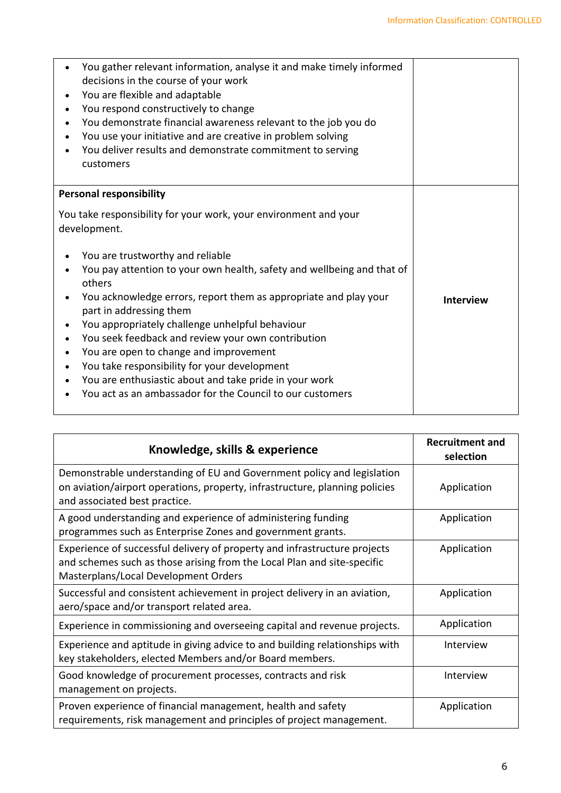| You gather relevant information, analyse it and make timely informed<br>decisions in the course of your work<br>You are flexible and adaptable<br>You respond constructively to change<br>You demonstrate financial awareness relevant to the job you do<br>You use your initiative and are creative in problem solving<br>You deliver results and demonstrate commitment to serving<br>customers                                                                                                                                                                                                                                 |                  |
|-----------------------------------------------------------------------------------------------------------------------------------------------------------------------------------------------------------------------------------------------------------------------------------------------------------------------------------------------------------------------------------------------------------------------------------------------------------------------------------------------------------------------------------------------------------------------------------------------------------------------------------|------------------|
| <b>Personal responsibility</b>                                                                                                                                                                                                                                                                                                                                                                                                                                                                                                                                                                                                    |                  |
| You take responsibility for your work, your environment and your<br>development.<br>You are trustworthy and reliable<br>You pay attention to your own health, safety and wellbeing and that of<br>others<br>You acknowledge errors, report them as appropriate and play your<br>part in addressing them<br>You appropriately challenge unhelpful behaviour<br>You seek feedback and review your own contribution<br>You are open to change and improvement<br>You take responsibility for your development<br>You are enthusiastic about and take pride in your work<br>You act as an ambassador for the Council to our customers | <b>Interview</b> |

| Knowledge, skills & experience                                                                                                                                                               | <b>Recruitment and</b><br>selection |
|----------------------------------------------------------------------------------------------------------------------------------------------------------------------------------------------|-------------------------------------|
| Demonstrable understanding of EU and Government policy and legislation<br>on aviation/airport operations, property, infrastructure, planning policies<br>and associated best practice.       | Application                         |
| A good understanding and experience of administering funding<br>programmes such as Enterprise Zones and government grants.                                                                   | Application                         |
| Experience of successful delivery of property and infrastructure projects<br>and schemes such as those arising from the Local Plan and site-specific<br>Masterplans/Local Development Orders | Application                         |
| Successful and consistent achievement in project delivery in an aviation,<br>aero/space and/or transport related area.                                                                       | Application                         |
| Experience in commissioning and overseeing capital and revenue projects.                                                                                                                     | Application                         |
| Experience and aptitude in giving advice to and building relationships with<br>key stakeholders, elected Members and/or Board members.                                                       | Interview                           |
| Good knowledge of procurement processes, contracts and risk<br>management on projects.                                                                                                       | Interview                           |
| Proven experience of financial management, health and safety<br>requirements, risk management and principles of project management.                                                          | Application                         |